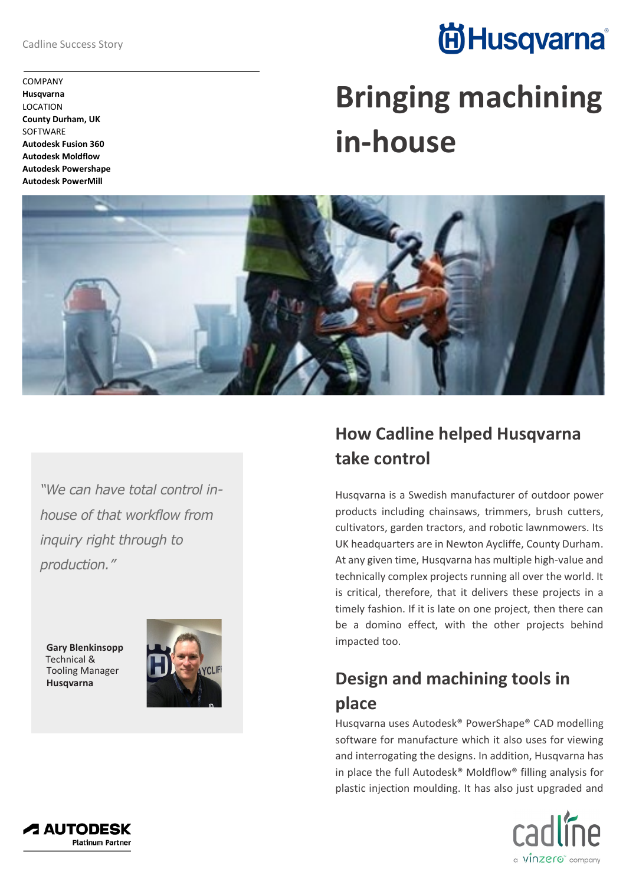Cadline Success Story

COMPANY **Husqvarna** LOCATION **County Durham, UK SOFTWARE Autodesk Fusion 360 Autodesk Moldflow Autodesk Powershape Autodesk PowerMill**

## **尚Husqvarna**®

# **Bringing machining in-house**



*"We can have total control inhouse of that workflow from inquiry right through to production."*

**Gary Blenkinsopp** Technical & Tooling Manager **Husqvarna**



### **How Cadline helped Husqvarna take control**

Husqvarna is a Swedish manufacturer of outdoor power products including chainsaws, trimmers, brush cutters, cultivators, garden tractors, and robotic lawnmowers. Its UK headquarters are in Newton Aycliffe, County Durham. At any given time, Husqvarna has multiple high-value and technically complex projects running all over the world. It is critical, therefore, that it delivers these projects in a timely fashion. If it is late on one project, then there can be a domino effect, with the other projects behind impacted too.

### **Design and machining tools in place**

Husqvarna uses Autodesk® PowerShape® CAD modelling software for manufacture which it also uses for viewing and interrogating the designs. In addition, Husqvarna has in place the full Autodesk® Moldflow® filling analysis for plastic injection moulding. It has also just upgraded and



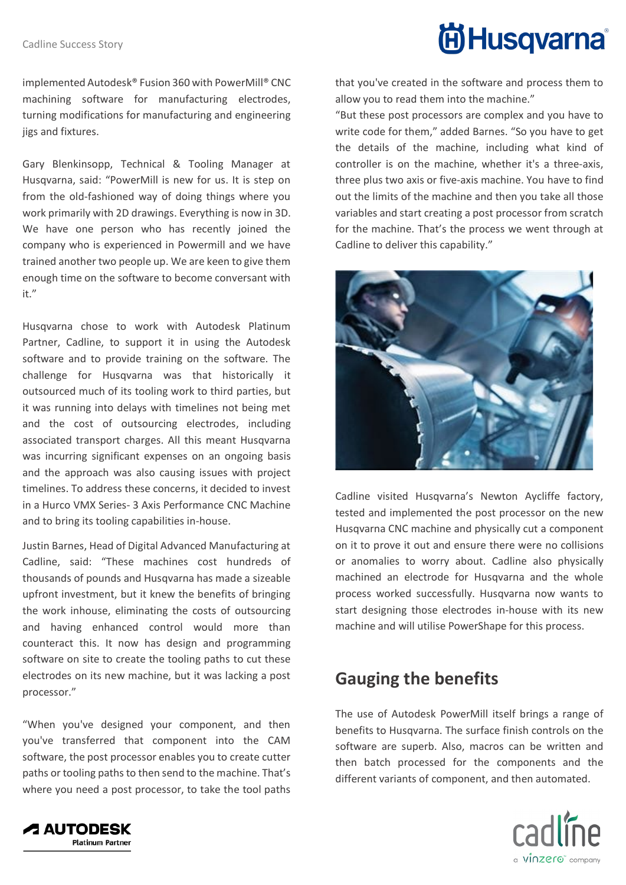implemented Autodesk® Fusion 360 with PowerMill® CNC machining software for manufacturing electrodes, turning modifications for manufacturing and engineering jigs and fixtures.

Gary Blenkinsopp, Technical & Tooling Manager at Husqvarna, said: "PowerMill is new for us. It is step on from the old-fashioned way of doing things where you work primarily with 2D drawings. Everything is now in 3D. We have one person who has recently joined the company who is experienced in Powermill and we have trained another two people up. We are keen to give them enough time on the software to become conversant with it."

Husqvarna chose to work with Autodesk Platinum Partner, Cadline, to support it in using the Autodesk software and to provide training on the software. The challenge for Husqvarna was that historically it outsourced much of its tooling work to third parties, but it was running into delays with timelines not being met and the cost of outsourcing electrodes, including associated transport charges. All this meant Husqvarna was incurring significant expenses on an ongoing basis and the approach was also causing issues with project timelines. To address these concerns, it decided to invest in a Hurco VMX Series- 3 Axis Performance CNC Machine and to bring its tooling capabilities in-house.

Justin Barnes, Head of Digital Advanced Manufacturing at Cadline, said: "These machines cost hundreds of thousands of pounds and Husqvarna has made a sizeable upfront investment, but it knew the benefits of bringing the work inhouse, eliminating the costs of outsourcing and having enhanced control would more than counteract this. It now has design and programming software on site to create the tooling paths to cut these electrodes on its new machine, but it was lacking a post processor."

"When you've designed your component, and then you've transferred that component into the CAM software, the post processor enables you to create cutter paths or tooling paths to then send to the machine. That's where you need a post processor, to take the tool paths



that you've created in the software and process them to allow you to read them into the machine."

"But these post processors are complex and you have to write code for them," added Barnes. "So you have to get the details of the machine, including what kind of controller is on the machine, whether it's a three-axis, three plus two axis or five-axis machine. You have to find out the limits of the machine and then you take all those variables and start creating a post processor from scratch for the machine. That's the process we went through at Cadline to deliver this capability."



Cadline visited Husqvarna's Newton Aycliffe factory, tested and implemented the post processor on the new Husqvarna CNC machine and physically cut a component on it to prove it out and ensure there were no collisions or anomalies to worry about. Cadline also physically machined an electrode for Husqvarna and the whole process worked successfully. Husqvarna now wants to start designing those electrodes in-house with its new machine and will utilise PowerShape for this process.

#### **Gauging the benefits**

The use of Autodesk PowerMill itself brings a range of benefits to Husqvarna. The surface finish controls on the software are superb. Also, macros can be written and then batch processed for the components and the different variants of component, and then automated.